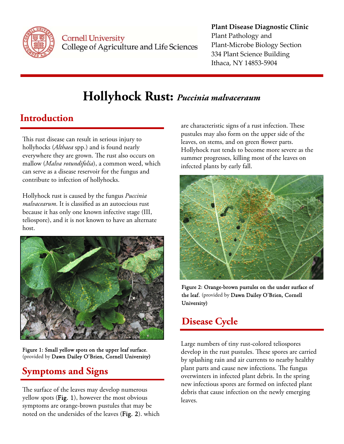

**Cornell University** College of Agriculture and Life Sciences

#### **Plant Disease Diagnostic Clinic** Plant Pathology and Plant‐Microbe Biology Section 334 Plant Science Building Ithaca, NY 14853‐5904

# **Hollyhock Rust:** *Puccinia malvaceraum*

## **Introduction**

This rust disease can result in serious injury to hollyhocks (*Althaea* spp.) and is found nearly everywhere they are grown. The rust also occurs on mallow (*Malva rotundifolia*), a common weed, which can serve as a disease reservoir for the fungus and contribute to infection of hollyhocks.

Hollyhock rust is caused by the fungus *Puccinia malvacearum*. It is classified as an autoecious rust because it has only one known infective stage (III, teliospore), and it is not known to have an alternate host.



Figure 1: Small yellow spots on the upper leaf surface. (provided by Dawn Dailey O'Brien, Cornell University)

## **Symptoms and Signs**

The surface of the leaves may develop numerous yellow spots (Fig. 1), however the most obvious symptoms are orange-brown pustules that may be noted on the undersides of the leaves (Fig. 2). which are characteristic signs of a rust infection. These pustules may also form on the upper side of the leaves, on stems, and on green flower parts. Hollyhock rust tends to become more severe as the summer progresses, killing most of the leaves on infected plants by early fall.



Figure 2: Orange-brown pustules on the under surface of the leaf. (provided by Dawn Dailey O'Brien, Cornell University)

### **Disease Cycle**

Large numbers of tiny rust-colored teliospores develop in the rust pustules. These spores are carried by splashing rain and air currents to nearby healthy plant parts and cause new infections. The fungus overwinters in infected plant debris. In the spring new infectious spores are formed on infected plant debris that cause infection on the newly emerging leaves.